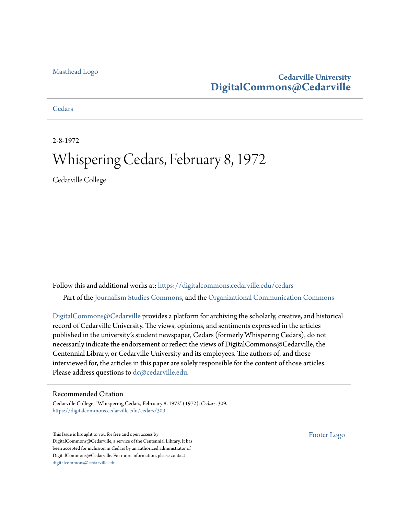#### [Masthead Logo](http://www.cedarville.edu/?utm_source=digitalcommons.cedarville.edu%2Fcedars%2F309&utm_medium=PDF&utm_campaign=PDFCoverPages)

#### **Cedarville University [DigitalCommons@Cedarville](https://digitalcommons.cedarville.edu?utm_source=digitalcommons.cedarville.edu%2Fcedars%2F309&utm_medium=PDF&utm_campaign=PDFCoverPages)**

**[Cedars](https://digitalcommons.cedarville.edu/cedars?utm_source=digitalcommons.cedarville.edu%2Fcedars%2F309&utm_medium=PDF&utm_campaign=PDFCoverPages)** 

2-8-1972

### Whispering Cedars, February 8, 1972

Cedarville College

Follow this and additional works at: [https://digitalcommons.cedarville.edu/cedars](https://digitalcommons.cedarville.edu/cedars?utm_source=digitalcommons.cedarville.edu%2Fcedars%2F309&utm_medium=PDF&utm_campaign=PDFCoverPages) Part of the [Journalism Studies Commons](http://network.bepress.com/hgg/discipline/333?utm_source=digitalcommons.cedarville.edu%2Fcedars%2F309&utm_medium=PDF&utm_campaign=PDFCoverPages), and the [Organizational Communication Commons](http://network.bepress.com/hgg/discipline/335?utm_source=digitalcommons.cedarville.edu%2Fcedars%2F309&utm_medium=PDF&utm_campaign=PDFCoverPages)

[DigitalCommons@Cedarville](http://digitalcommons.cedarville.edu/) provides a platform for archiving the scholarly, creative, and historical record of Cedarville University. The views, opinions, and sentiments expressed in the articles published in the university's student newspaper, Cedars (formerly Whispering Cedars), do not necessarily indicate the endorsement or reflect the views of DigitalCommons@Cedarville, the Centennial Library, or Cedarville University and its employees. The authors of, and those interviewed for, the articles in this paper are solely responsible for the content of those articles. Please address questions to [dc@cedarville.edu.](mailto:dc@cedarville.edu)

#### Recommended Citation

Cedarville College, "Whispering Cedars, February 8, 1972" (1972). *Cedars*. 309. [https://digitalcommons.cedarville.edu/cedars/309](https://digitalcommons.cedarville.edu/cedars/309?utm_source=digitalcommons.cedarville.edu%2Fcedars%2F309&utm_medium=PDF&utm_campaign=PDFCoverPages)

This Issue is brought to you for free and open access by DigitalCommons@Cedarville, a service of the Centennial Library. It has been accepted for inclusion in Cedars by an authorized administrator of DigitalCommons@Cedarville. For more information, please contact [digitalcommons@cedarville.edu](mailto:digitalcommons@cedarville.edu).

[Footer Logo](http://www.cedarville.edu/Academics/Library.aspx?utm_source=digitalcommons.cedarville.edu%2Fcedars%2F309&utm_medium=PDF&utm_campaign=PDFCoverPages)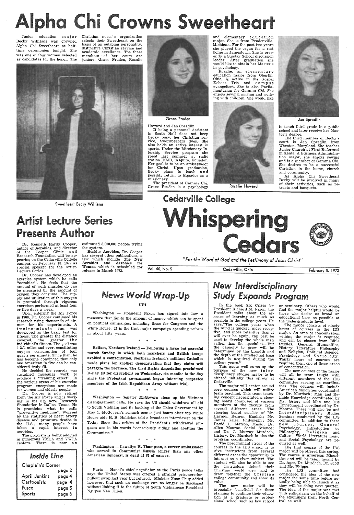# Ipha Chi Crowns

Junior education major Becky Williams was crowned Alpha Chi Sweetheart at halftime ceremonies tonight. She was one of four women selected as candidates for the honor. The

Christian men's organization selects their Sweetheart on the basis of an outgoing personality, distinctive Christian service and academic excellance. The three members of her court are juniors, Grace Pruden, Rosalie



Grace Pruden

The president of Gamma Chi, Grace Pruden is a psychology

Howard and Jan Spradlin.

and elementary e-ducation major. She is from Prudenville, Michigan. For the past two years she played the organ for a rest home in Jamestown. She is pres ently a Sunday School discussion leader. After graduation she would like to obtain her Master's

If being a personal Assistant in South Hall does not keep Becky busy, her Christian service, Swordbearers does. She also holds an active interest in sports. Under the Missionary Intership Service program she spent last summer at radio station HCJB, in Quito, Ecuador. Her goal is to be an ambassador for Christ. Upon graduation, Becky plans to teach an d possibly return to Equador as <sup>a</sup> missionary.

rtist Lecture Series Presents Author

estimated 8,000,000 people trying the system.<br>Besides Aerobics, Dr. Cooper

has several other publications, a few which include The New Aerobics and Aerobics for Women which is scheduled for release in March 1972.

in psychology. education major from Oberlin, Ohio, is active in the Gospel Echoes Trio and c amp us evangelism. She is also Parliamentarian for Gamma Chi. She enjoys sewing, singing and working with children. She would like



Rosalie Howard



to teach third grade in a public school and later receive her Master's degree.

The third member of Becky's court is Jan Spradlin from Wheaton, Maryland. She teaches Junior Church at First Reformed in Xenia. A Business Administration major, she enjoys sewing and is a member of Gamma Chi. She desires to be a successful Christian in the home, church and community.

As Alpha Chi Sweetheart Becky will be involved in many of their activities, such as retreats and banquets.

Sweetheart Becky Williams





Washington - President Nixon has signed into law a measure that limits the amount of money which can be spent on political campaigns, including those for Congress and the White House. It is the first major campaign spending reform in about fifty years.

Dr. Kenneth Hardy Cooper, author of Aerobics, and director of the Cooper Clinic and Research Foundation will be ap pearing on the Cedarville College campus on February 18, 1972 as special speaker for the Artist-Lecture Series.

#### Belfast, Northern Ireland - Following a large but peaceful march Sunday in. which both marchers and British troops avoided a confrontation, Northern Ireland's militant Catholics made plans for another demonstration that they claim will paralyze the province. The Civil Rights Association proclaimed D-Day (D for disruption) on Wednesday, six months to the day

*"For the Word of God and* the *Testimony of* Jesus *Christ"*  ;I

Washington - Senator McGovern steps up his Vietnam disengagement calls. He says the US should withdraw all aid to South Vietnam and its backing of the Thieu Government by May 1. McGovern's remark comes just hours after top White House aide H. R. Haldetan told a broadcast interviewer on the Today Show that critics of the President's withdrawal program are in his words "consciously aiding and abetting the Communists.''

Washington - Lewellyn E. Thompson, a career ambassador who served in Communist Russia longer than any other American diplomat, is dead at 67 of cancer.

Dr. Cooper has developed an exercise system which he calls 'aerobics". He feels that the amount of work muscles do can be measured by the amount of oxygen they consume. The supis promoted through vigorous exercises performed at least four or five days a week.

> Paris - Hanoi's chief negotiator at the Paris peace talks says the United States was offered a straight prisoners-for pullout swap last year but refused. Minister Xuan Thuy added however, that such an exchange can no longer be discussed without linking it to the future of South Vietnamese President Nguyen Van Thieu.

Upon entering the Air Force in 1960, Dr. Cooper continued his research using thousands of airmen for his experiments. A twelve-minute run was<br>developed as the basic test for fitness. The greater the distance covered, the greater the individual's fitness. The goal was <sup>1</sup>3/4 miles and over, constituting oxygen consumption of four quarts per minute. Since then, he has become convinced that only one American in five can be considered truly fit.

He decided the remedy was sustained muscular work to produce a "training effect". In the various areas of his exercise program exceptions are made for women and elderly people. Dr. Cooper is now retired from the Air Force and is working in his  $8\frac{1}{2}$  acre Research Foundation in Dallas, Texas. He is practicing what he calls "preventive medicine". Worried by the statistics of heart artery disease and prmature deaths in the U.S., many people have taken a rapid interest in aerobics.

The program is being adopted in numerous YMCA and YWCA centers. There is now an

| Inside Line          |        |  |  |  |
|----------------------|--------|--|--|--|
| Chaplain's Corner    |        |  |  |  |
|                      | page 2 |  |  |  |
| <b>April Jenkins</b> | page 4 |  |  |  |
| Cartoonists          | page 4 |  |  |  |
| Fusco                | page 5 |  |  |  |
| Sports               | page 6 |  |  |  |

Vol. 40, No. 5

#### Cedarville, Ohio February 8, 1972

#### *ews World Wrap-Up*  UPI

\* \* \*

since the Protestant government began interning suspected members of the Irish Republican Army without trial.

 $\rightarrow$ 

\* \* \*

\* \* \*

### New *Interdisciplinary Study Expands Program*

In the book Six Crises by President Richard M. Nixon, the President talks about the essence of learning as much as possible in the college years. He says, "The college years when the mind is quicker, more recep-<br>tive, and more retentive than it will ever be again, can best be used to develop the whole man rather than the specialist....But the capacity to grow will be determined by the breadth and the depth of the intellectual base which is acquired during the college years."

This quote well sums up the purpose of the new interdisciplinary studies major to be offered initially this spring at Cedarville. The major will center around core courses which will utilize team teaching. This team teaching concept necessitated a steering board composed of various members of the faculty from several different areas. The steering board consists of Mr. Harmon Bergen. English; Mr. James Grier, Philosophy; Mr. David L. Matson, Music; Dr. Allen Monroe. Social Science; and Dr. J. Murray Murdoch, History. Dr. Murdoch is also the program coordinator. The predominant stress of the courses in the IDS major is to give instructors from several different areas the opportunitv to interact on a given subiect. The student will also be able to see the instructors defend their Christian world view and to draw together the Cristian college community and show its value. The new maior will be especially beneficial for those planning to continue their education at a graduate or profes-sional school such as law school or seminary. Others who would find the major helpful would be those who desire as broad an educational base as possible at the undergraduate level.

The major consists of ninety hours of courses in the IDS major. An area of concentration withing the major is required and can be chosen from Bible Studies, General Humanities,<br>History, Literature, Philosophy and Religion, Political Science, Psychology and Sociology. Thirty hours of courses are required from one of these areas of concentration.

The new courses of the major will all be team taught with different members of the IDS committee serving as coordinators. The courses will include American Minorities coordinated by Dr. Murdoch; Man and Re-<br>liable Knowledge coordinated by Mr. Grier; and Man and His<br>Environment coordinated by Dr. Environment coordinated by Dr. Monroe. There will also be and Interdisciplinary Studies Seminar conducted by the IDS committee. In addition to these new courses, General Psychology, Introduction to Philosophy, Religion and Culture, World Literature Logic and Social Psychology are reand Social Psychology are required as well. The first course of the IDS major will be offered this spring. The course is American Minorities and will be team taught by Dr. Ager, Dr. Murdoch, Dr. Scott and Mr. Phipps. The IDS committee had considered the idea of the new major for some time before actually being able to launch it as they will be doing next quarter. The idea of the major was met with enthusiasm on the behalf of the examiners from North Central as well.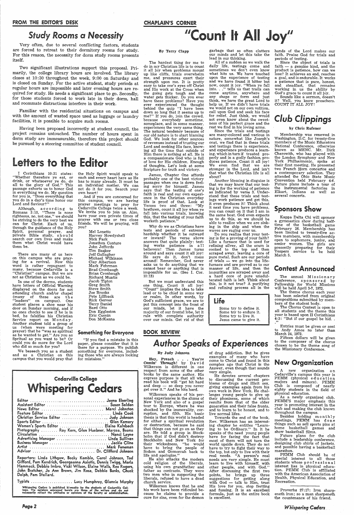#### FROM THE EDITOR'S DESK

### *Study Rooms a Necessity*

Very often, due to several conflicting factors, students are forced to retreat to their dormitory rooms for study. For this reason, the necessity for dorm study rooms presents itself.

Two significant illustrations support this proposal. Primarily, the college library hours are involved. The library closes at 10 :30 throughout the week, 9 :00 on Saturday and is closed on Sunday. For the active student, study periods at regular hours are impossible and later evening hours are required for study. He needs a significant place to go. Secondly, for those students forced to work late in their dorm, hall and roommate distractions interfere in their work.

Familiar with the residential situations on campus and with the amount of wasted space used as luggage or laundry facilities, it is possible to acquire such rooms.

Although, according to Romans 3:10, "There is none righteous, no, not one," we should be striving to do the very best we can for Christ. Each of us, through the guidance of the Holy Spirit, personal prayer, and private Bible study, should search our own lives and make them what Christ would have them be.

Having been proposed incorrectly at student council, the project remains untouched. The number of hours spent in dorm study are immeasurable, therefore this project should be pursued by a steering committee of student council.

### Letters to the Editor

I Corinthians 10:31 states: "Whether therefore ye eat, or drink, or whatsoever ye do, do all to the glory of God." This passage exhorts us to honor God in everything we do. My question for you is, "Does everything that you do in a day's time honor our Lord and Saviour?"

There are many of us here on this campus who are praying for a revival. Now this word is rather repugnant to many, because Cedarville is <sup>a</sup> "Christian" campus. But we are not as Christian as we could be.

In one of the dorms, students have letters of Official Warning displayed on the doors for not attending church and/or chapel (many of these are the "leaders" on campus). One student places a shoe near his door on Sunday morning, and if no ones checks to see if he is in bed, he falsifies his Christian Service report on Monday. Another student told a group of us (when were meeting for prayer) that he "was as spiritual as he wanted to get." Are you as Spritual as you want to be? Or could you do more for the Lord who did so much for you?

We beseech you as a student and as a Christian on this campus that you would pray that

### CHAPLAIN'S CORNER "Count It All Joy"

the Holy Spirit would speak to each and every heart here as He has to many already. It must be an individual matter. We can not do it for you. Search your own heart!

And if you are concerned for this campus, we are having prayer meetings to pray for Cedarville College twice a week. We invite you to join us. Also, have your own private times of prayer with one or two close friends. We will be praying, will you?

> Mel Lonetto Harvey Howdyshell Nick Park ;Jonathon Conture John Jeffords Tim Barker Jeff Gallagher Michael Wilkinson Clay Albertson Mark Fehrman Brad Cronbaugh Brian Cronbaugh Richard Muntis Jacob Tipton Greg Smith Steve Smith Joe Brooks Pete Lillback Rick Gerver Terry Daniel Bard Otto Don Eggleston Eric Cuenin Don McKanna

James, Chapter One affords probably one of the best victory passages when one is down feeling sorry for himself. James says that the testing of one's faith is real and our own experience in the Christian everyday life is proof of that. Look at Verses two and three: "My brethren, count it all joy when ye fall into various trials, knowing this, that the testing of your faith worketh patience."

#### Something for Everyone

"If you find a mistake in this paper, please consider that it is there for a purpose. We publish something for everyone, including those who are always looking for mistakes."

| News Editor  Marci Johnston                         |  |
|-----------------------------------------------------|--|
|                                                     |  |
|                                                     |  |
| Sports Editor  Glen Kemery                          |  |
| Women's Sports Editor  Elaine Kalnbach              |  |
| Photography  Roy Kern, Glen Huebner, Marcea, Bearss |  |
|                                                     |  |
| Advertising Manager  Linda Sullivan                 |  |
| Business Manager  Jackie Cline                      |  |
|                                                     |  |
| Advisor  Dr. Clifford Johnson                       |  |

Some try to define it. Some try to endure it. Some try to live it. Jesus came to give it.

Reporters: Linda Lithgow, Becky Kemble, Carol Johnson, Ted Gifford, Pam Kendrich, Georgeanna Axiotis, Dennis Twigg, Merla Hammack, Debbie lmbro, Vicki Wilson, Elaine Walls, Rex Rogers, John Bratcher, Jo Ann Brown, Jim Rosa, Debbie Banks, Chuck Dolph, Pam Stallard.

Whispering Ceders is published bi-weekly by the students of Cedarville Col-<br>lege. The opinions expressed herein are those of the writers and do not<br>necessarily reflect the attitudes or opinions of the faculty or administra

#### By Terry Clapp

The hardest thing for me to do in my Christian life is to count it all joy when problems mount up like cliffs, trials overwhelm me, and pressures exert their strength upon me. It is pretty easy to take one's eyes off Christ and His work at the Cross when the going gets tough and the water gets thicker. Do you ever have these problems? Have you ever experienced the thought behind the quip "I have been down so long that it seems up to me?" If you do, join the crowd, because everybody sometime, someplace, and in some manner, experiences the very same thing. The natural tendency because of our old nature is to start blaming God. We look for other sources of revenues instead of trusting our Lord and seeking His face, knowing all the time that outside of Him there is nothing at all. He is <sup>a</sup>compassionate God who is full of love for His children. Enough of thoughts. Let's look at some Scripture for truth and victory.

#### a goal, and is endurable. It works a patience that is pure, honest,<br>and steadfast, that remains and steadfast, that working in us the ability by

God's grace to count it all joy. Sounds like a sermon, doesn't it? Well, you know preachers. COUNT IT ALL JOY!

Why do we as Christians have tests and periods of extreme hardship whether it be outward or inward? The verse above answers that quite plainly: testing works patience in a 11 believers! Then James turns around and says count it all joy! He says do it, don't mess around! Remember, God never asks us to do anything that we cannot bear or anything that is impossible for us. (See I. Cor. 10:13)

But we must understand this one thing, Count it all joy! "Count" implies the idea to take lead or to be chief in some way or realm. In other words, by God's sufficient grace, we are to put this concept into the front of our minds, let it have the majority of our frontal lobe, let it rule with complete authority over our minds. Get rid of that

#### BOOK REVIEW'.

Proverbs 27:17: Iron sharpeneth iron; so a man sharpeneth the countenance of his friend.

garbage that so often clutters hands of the Lord makes our our minds and let this take the lead in our thinking.

All of a sudden as we walk the daily life, testings come and sometimes we don't even know what hits us. We have touched upon the experience of testing and we have found it bitter but now, count it joy. "When ye fall into..." tells us that trails can come anytime, anywhere and any shape or form and just think, we have the great Lord to help us. If we didn't have trials we would not on our own volition, call upon God and seek his face for relief. Just think, we would not even know about the sweetness of his perfect grace and the rest we find in his loving arms.

Since the trials and testings are many-colored and various in nature, somewhat like Joseph's coat, we find that in these trials and testings there is experience, and experience produces a learning, which in turn if treated properly and in a godly fashion, produces patience. Count it all joy! We even find that we are stronger in the Lord, and isn't that what the Christian life is all about?

Another blessing in disguise is that we may know that our testing is for the working of patience as indicated by verse 3. Understand that these trials and testings work patience and get this, it even produces it! Think about it next time you have problems, you can count on it that I am in the same boat. God even expects us to do this, so we should be able to realize when we are sinking in the ship and when the waves are raging over us.

Do you realize that your testing is for a proving of your faith? Like a furnace that is used for refining silver, all the scum is cooked to the top and then scraped away, leaving a core of pure metal. Such are our periods of trials  $-$  we go into the lifefurnace and are proved as to our manner of life, and then the impurities are scraped away and a hard core of pure unadulterated faith is left. Think about this, is it not true? A purifying and refining process all in the

#### life

### *Author Speaks* of *Experiences*

#### By Judy Johnson

Hey, Preach . . . You're Comin' Through! by D avid Wilkerson is different in one respect from some of the other books by the same author. His express purpose is that all who read his book will "get hit hard and deep — so deep you never get over it." And he hits hard. Wilkerson speaks of his personal experiences in the slums of New York and also of a gospel tour to Europe, where he was shocked by the immorality, corruption, and filth. His basic thesis is that this world is headed for either <sup>a</sup>spiritual revolution or destruction, because he said that things can not go on as they are. He told a group in Stockholm that if God didn't destroy Stockholm and New York for their wickedness, "he would have to bring the people of Sodom and Gomorrah back to life and apologize." He also attacks the modern cold religion of the liberals, using his own grandfather and father as contrasts. They were two men who in supporting the liberals, refused to have a dead church service.

Wilkerson knows that he and his work have been ridiculed because he claims to provide <sup>a</sup> cure for sins, even for the demon of drug addiction. But he gives examples of many who have come to Christ and found in this complex age that Christ is the Answer, even though that sounds

very simple.

He devotes several chapters

to discussing the current problems of drugs and illicit sex, giving examples again from his own work in New York. He challenges young people to give up their phoniness, some of which results from that of the older generation and their false fronts, and to learn to be honest, and to live normal lifes.

Towards the end of the book, Rev. Wilkerson has an interesting chapter he entitles "Learning to be Ordinary." In it he speaks of the need young people have for facing the fact that most of them will not turn the world upside down. They do not have to try to fight their way to the top, but only to live with their real needs. "A person's real needs are very simple. He must learn to live with himself, with other people, and with God." After discussing the first two points, he brings up three suggestions for getting along with God — talk to Him, trust His love for you, stop fretting and fussing. It is an excellent formula, just as the entire book is excellent.

faith. Praise God for trials and

periods of testing.

Since the object of trials is  $faith - a$  genuine kind, and the product is patience, how can we lose? It achieves an end, reaches

### *Club Clippings*

#### by Chris Rufener

Membership was renewed in Washington, D.C. for twenty-five members of the Music Educators National Conference, otherwise known as MENC. Mr. Dick Cherowith, who has played with the London Symphony and New York Philharmonic, spoke at their first meeting. He presented two French Horn concertos and a contemporary selection. They attended the Ohio State Music Convention held February 4-6. Future plans include a tour of the instrumental factories in Elkart, Indiana as well as several concerts.

#### Sponsors Show

Kappa Delta Chi will sponsor a gymnastics show during halftime of the basketball game February 26. Membership has been limited to twenty-five active members, with membership open to sophomore, junior, and senior women. The girls are presently preparing for their Vespers service to be held March 5.

#### Contest Announced

The annual Missionary Conference, sponsored by Fellowship for World Missions will be held April 3-7, 1972.

The theme chorus each year has been selected from original compositions submitted by members of the student body.

The Chorus Contest is open to all students and the theme this year is based upon II Corinthians 4:3: "But if our gospel be hid.. "

Entries must be given or sent to Andy Amos no later than March 24, 1972.

Fifteen dollars will be given to the composer of the chorus chosen to be the theme song of the Missionary Conference.

### New Organization

A new organization on Cedarville's campus this year is 'EMM (physical educa majors and minors). PEMM Club is composed of nearly eighty students in the field of physical education. As a newly organized club, PEMM'S major emphasis this year is promoting interest in the club and making the club known throughout the campus. Besides holding m o nth I y meetings, PEMM has done things such as sell sports pins at home basketball games and show basketball films. Future plans for the club include a leadership conference, designing club shirts of jackets. and possible having a basketball marathon. PEMM Club should be of special interest to all those students whose p r of e s s i o n al interest lies in physical educa-tion. PEMM Club is affiliated with the American Association of Health, Physical Education, and Recreation.

### Cedarville College **Whispering Cedars**

*Whispering Cedari* .

Page 2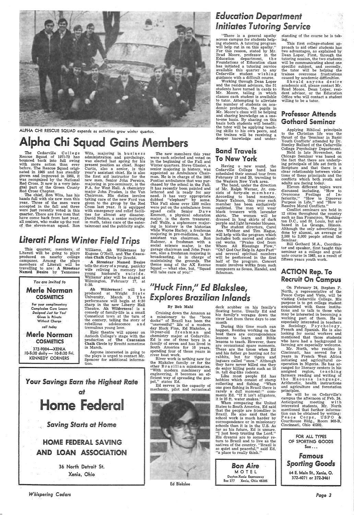### *Education Department Initiates* Tutoring *Service*

"There is a general apathy<br>across campus for students helpacross campus for a tutoring program will help cut in on this apathy." For this reason, stated by Mr. Brad Moore, professor in the Education department, th e Foundations of Education class has initiated a tutoring service available this quarter to any Cedarville student wishing<br>guidance with a difficult course.<br>Working through Dean Loper

and the resident advisors, the 51 students have turned in cards to Mr. Moore, telling in which classes each student is available to tutor. Attempting to alleviate the number of students on academic probation, the pupils in<br>Mr. Moore's class will be helping and sharing knowledge on a oneto-one basis. By sharing on this basis both students will benefit; the tutor will be applying teach-<br>ing skills to his own peers, and

standing of the course he is taking.

This first college-student ap proach to aid other students has two advantages, as explained by Dean Loper. First, through the tutoring session, the two students will be communicating about one specific subject, and secondly, the tutor will be helping the trainee overcome frustrations caused by academic difficulties.

ing skills to his own peers, and applying Biblical principals ing skills to his own peers, and to the Christian life was the thrust of the 'Seminar in Basic Youth Conflicts' attended by Dr. Stanley Ballard of the Cedarville

Should anyone desire academic aid, please contact Mr. dent advisor, or the Education Office who will contact a student willing to be a tutor.

### Professor Attends Gothard Seminar



ALPHA CHI RESCUE SQUAD expands as activities grow winter quarter.

## Ipha Chi Squad Gains Members and Linder and Under- Touth Conflicts' attended by Dr.

The Cedarville College<br>Rescue Squad of 1971-72 has<br>bounced back into full swing with more action than ever before. The Rescue Squad origi nated in 1965 and has steadily grown and improved in 1968, it was recognized by the National Red Cross. It now is <sup>a</sup>very inte gral part of the Green County<br>Red Cross Chapter.

The chief, Ron Wita, has his hands full with six new men this year. Three of the men were accepted in the fall and three were just recently voted in this quarter. There are five men that have come back from last year,<br>all seniors, who make up the rest of the eleven-man squad. Ron

This quarter, members of<br>Literati will be going to plays Literati will be going to plays produced on nearby college campuses. Among the plays<br>members of Literati will be<br>travelling to are: A Streetcar Named Desire by Tennessee

Wita, majoring in business administration and psychology, was elected last spring for his Curtis, also a senior, is this year's assistant chief. He is also the first aid instructor for the new men. Senior John Pereira, majoring in pre-seminary, is the<br>P.A. for West Hall. A chemistry major John Pruden, is the Van Chairman. His duties involve faking care of the new Ford van <sup>g</sup>iven to the group by the Red Cross last year. It is equipped with emergency and relief facilities for almost any disaster. David Nelson, a senior majoring in math, takes care of the entertainment and the publicity angle.

### *Literati Plans* Winter *Field Trips*

The student directors, Carol<br>Ann Webber and Tim Hague, will help with the program which includes both sacred and classical works. "Praise God from "Oh? God Our Help In Ages Past" and several spiritual numbers will be performed in the first half of the program. Concert music involves works from such composers as Sousa, Handel, and Schuman.



Williams, Ah Wilderness by Eugene O'Neill, and The Caucasian Chalk Circle by Brecht.

·A Streetcar Named Desire tells the story of a young, panicky wife reliving in memory her young husband's suicide. Williams' play will be staged at Wilmington, February 17, at 8:30.

Ah Wilderness! will b e produced at Wright State University, March 3. The performance will begin at 8:30<br>sharp in the new Liberty Hall .Theatre. Ah Wilderness! is a comedy of family-life in a small Conneticut town at the turn of the century, telling the story of rebellious adolescence a n d tremulous young love.

> **Bon Aire** MOTE l Dayton-Xenia Expressway Box 277 Xenia, Ohio 45385

Epic theatre will appear on Antioch College's stage with the production of The Caucasian Chalk Circle by Brecht sometime in March.

Anyone interested in going to the plays is urged to contact Mr. Spencer for additional information.

## Your *Savings* Earn *the Highest* Rate *at* Home Federal *Saving Starts at* Home HOME FEDERAL SAVING AND LOAN ASSOCIATION 36 North Detroit St. Xenia, Ohio

*Whispering Cedars* 

Mr. North, who resides in Cincinnati, has served for 5 years in French West Africa initiating and agricultural co operation in Nigeria. He has arranged for literacy centers in his assigned region, t eaching<br>farmers reading and writing of<br>the Haoussa language,<br>Arithmetic, health instructions and agriculture and forestation principles. He will be on Cedarville's campus the afternoon of Feb. 24. Anticipating meeting with interested students, Mr. North mentioned that further information can be obtained by writing: Peace Corps, USPO & Courthouse Bldg., Room 903-B, Cincinnati, Ohio 45202. FOR All TYPES OF SPORTING GOODS See  $\ldots$ *Famous Sporting* Goods 64 E. Main St., Xenia, 0. 372-4071 or 372-3461

The new members this year were each selected and voted on in the beginning of the Fall and Winter quarters. Steve Glazier, <sup>a</sup> senior majoring in history, was appointed as Ambulance Chairman. He is in charge of the 1961 chased by the school in the Fall.<br>It has recently been painted and It has recently been\_ painted and lettered and is ready for any need. It has very appropriate dubbed "elephant" by some. This Fall alone over 1200 miles were put on the ambulance from squad calls Senior Dave Emmott, a physical education major, is the dorm treasurer. Jeff Wolfe, a sophomore major- ing in history is the historian while Wayne Harley, a freshman majoring in pre-medicine, is the assistant van chairman. Ron Rufener, a freshman with <sup>a</sup> social science major, is the garage chairman and John Pearson, also a freshman majoring in broadcasting, is in charge of maintaining the grounds. The theme song of the AX Rescue

### Band Travels To New York

Having <sup>a</sup>new sound, the Cedarville College band has scheduled their annual tour from February 15 and 20, traveling to the Western New York area.

The band, under the direction of Mr. Ralph Werner, Jr. consists of forty-six members. According to band member, Nancy Talmon, this year each member has been exclusively outfitted. The men will wear black trousers with lavender shirts. The women will be dressed in long skirts of dark purple and light lavender blouses.

*<sup>11</sup>Huck* Finn/' *Ed Blakslee, Explores Brazilian Inlands* 

#### By Bob Mahl

Squad - what else, but, "Squad will take care of you!"

Cruising down the Amazon as <sup>a</sup>missionary to the ''boon docks" of Brazil has been the "uneventful" life of a modern day Huck Finn, Ed Blakslee, <sup>a</sup> 19-year-old fr e sh <sup>m</sup>an and chemistry major at Cedarville. family of seven and has lived in<br>South America for 10 years, spending four of those years in river boat work.

 River work. is nothing new for the Blakslee family or for the other Brazilian missionaries. "With modern machinery and engineering, it becomes an eficient way of spreading pel," states Ed. Ed serves in the capacity of mechanic, pilot and occasional



deck scubber on his family's floating home. Usually Ed and his family's voyages down the river last from three days to one month

During this time much can happen. Besides working on the boat there are correspondence lessons to learn and Bible lessons to teach. However, there are occassional spare moments. These are the times when Ed and his father go hunting not for rabbits, but for tigers and jaguars called "onca." Although they have never killed one they do enjoy killing pests such as <sup>18</sup> in. tall dog-like rodents.

Like most people Ed has

hobbies which consist of stamp collecting and fishing. "When collecting and fishing. "When<br>one goes fishing in Brazil there is rarely a dull moment:" comments Ed. "If it isn't alligators, it is 25 ft. water snakes."

 When comparing the United States to South America, Ed said that the people are friendlier in Brazil. He also said that the school work is much harder by correspondence or in missionary schools than it is in the U.S. As far as his future, Ed is unsure. "I just keep trusting the Lord." His dreams are to someday return to Brazil and to live as the natives of the country. "Brazil is so quiet and peaceful," said Ed, "a place to really think."

Held in late November, the Chicago Seminar was based on ing principals of life set forth in Scripture and that there is <sup>a</sup> clear relationship between violations of these principals and the conflicts which both youth and adults are facing today.

Eleven different topics were discussed including, "How to Overcome Feelings of Inferiority," "How to Discover Purpose in Life," and "How to Resolve Moral Conflicts."

Conflict seminars are held in 12 cities throughout the country<br>such as San Francisco, Washington D.C., and St. Louis, but are based in La Grange, Illinois. Although the only advertising is done by alumni, an average of 2,500 to 3,000 people attend the Seminar.

 Bill Gothard M.A., Coordinator and speaker, first taught this seminar as a college and graduate course in 1965, as a result of fifteen years youth work.

#### ACTION Rep. To Recruit On Campus

On February 24, Stephen P. North, a representative of the Peace Corps and Vista, will be visiting Cedarville College. His purpose is to get college student acquainted with these institutions and to talk to those who may be interested in becoming a working part of them. He is especially interested in teachers in Sociology, P s y ch o lo g y , French and Spanish. He is also looking for social workers and mentioned that those students who have had a background in farming are especially welcome.

*Page 3*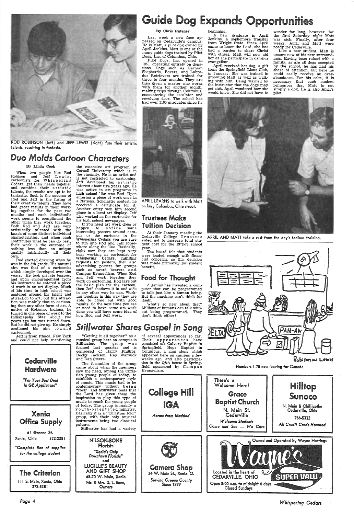

ROD ROBINSON (left) and JEFF LEWIS (right) fuse their artistic talents, resulting in fantasia.

### Duo *olds* Cartoon *Characters*

#### By Linda Cook

When two people like Rod Robison and Jeff Lewis,<br>cartoonists for Whispering Cedars, get their heads together<br>and combine their artistic talents, the results are apt to be fantastic. Such is the success of Rod and Jeff in the fusing of their creative talerits. They have had great results in their working together for the past two months and each individual's work seems to compliment the other when they work together.<br>Both Rod and Jeff are very extistically talented with the<br>knack of some distinct individual characteristics, and when each contributes what he can do best, their work is the outcome of nothing less than an unique quality intrinsically all their own.

the extensive art program at Cornell University which is in the vincinity. He is an artist and<br>is not restricted to cartooning. Jeff developed his artistic interest about five years ago. He was active in art programs in high school like was Rod. Upon<br>entering a piece of work once in a National Scholastic contest, he received a certificate for it. Another entry won him second <sup>p</sup>lace in a local art display. Jeff also worked as the cartoonist for his high school newspaper.

Last week a new face appeared on Cedarville's campus. He is Matt, a pilot dog owned by April Jenkins. Matt is one of the many guide dogs trained by Pilot Dogs, Inc. of Columbus, Ohio.

If you need art work done or happen to notice some interesting posters around campus or the cartoons in the Whispering Cedars you are sure to run into Rod and Jeff somewhere along the line. Basically, right now they are kept very busy working as cartoonist for Whispering Cedars, fulfilling requests for posters, then also advertising posters for groups such as sword bearers and Campus Evangelism. When Rod work on cartooning. Rod lays out the basic plan for the cartoon, then Jeff shadows it in and aids in any other way he can. Working together in this way they are able to come out with good results. So the next time you see or need to have some art work done you will have some idea of how Rod and Jeff work.

### **Guide Dog Expands Opportunities**

graduate is April Jenkins, a sophomore transfer from Wright State. Since April came to know the Lord, she has had a burden to share Christ with others. Matt will now aid her as she participate in campus evangelism.

#### By Chris Rufener

Like a new student, Matt is unsure now of his new surroundings. Having been raised with <sup>a</sup> family, as are all dogs accepted by the school, he has had his share of attention, but here he could easily receive an overabundance. For his sake, it is necessary that each student remember that Matt is not simply a dog. He is also April's pilot.



Pilot Dogs, Inc. opened in 1950, operating entirely on dona-<br>tions. Dogs such as German Dogs such as German Shepherds, Boxers, and Labrador Retrievers are trained for three to four months. They are then given a master who works with them for another month, making trips through Columbus, encountering the escalator and revolving door. The school has had over 1100 graduates since its



APRIL LEARNS to walk with Matt on busy Columbus, Ohio street.

"Getting it all together" as a musical group here on campus is Stillwater. The group was formed last quarter and is composed of Harry Phillips, Becky Jackson, Ray Warwick and Dan Steere.

#### Trustees Make Tuition Decision

At their January meeting the Cedarville College Trustees voted not to increase total student cost for the 1972-73 school year.

The board felt that students were loaded enough with financial concerns, so this decision was made primarily for student benefit.

#### food for Thought

A genius has invented a computer that can be programmed to talk just like a human being. But the machine can't think for itself.

What's so new about that? Millions of humans can talk without being programmed. They don't think either! April received her dog, a gift from the Springfield Lions Club, in January. She was trained in grooming Matt as well as walking with him. Being warned by the instructor that the dogs may get sick, April wondered how she would know. She did not have to

wonder for long, however, for the first Saturday night Matt was sick. Finally, after four weeks, April and Matt were ready for Cedarville.

APRIL AND MATT take a rest from the day's tedious training.

Rod started drawing when he was in the 5th grade. His natural aim was that of a cartoonist which simply developed over the years. He took private lessons, his instructor he entered a piece<br>of work in an art display. Much of his time in high school was centered around his talent and attraction to art, but this attraction was mainly that to cartooning than any other form of art. A native of Kokomo, Indiana, he turned in one piece of work to the Indianapolis Star about two years ago but was turned down. But he did not give up. He simply continued his aim to ward cartooning.

### *Stillwater Shares Gospel in* Song

Jeff is from Ithaca, New York and could not help mentioning

Cedarville

Hardware

*Page 4* 

The formation of the group came about when the members saw the need, among the Chris- tian young people of today, to

of several appearances so far. Their appearances have consisted of: Calvary Baptist in Springfield, Hope Baptist in Columbus, a sing along which appeared here on campus a few weeks ago, and also participation in the Q&A house in Spring-<br>field sponsored by C amp us Evangelism.

### beginning.<br>A new



Numbers 1-75 now leaving for Canada



*Whispering Cedars*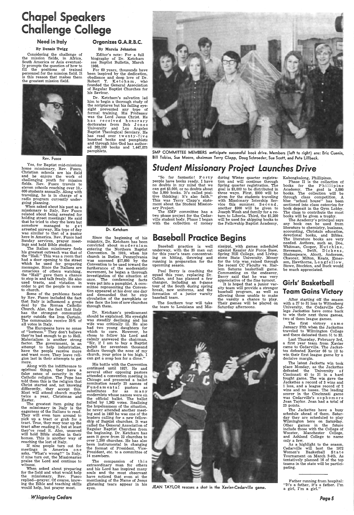## Chapel Speakers **Challenge College**

#### Need in Italy

#### By Dennis Twigg

Considering the challenge of the mission fields, in Africa, South America or Asia eventually prompts the question of how to fill the positions of trained personnel for the mission field. It is this reason that makes them the greatest mission field.



Rev. Fusco

Yes, for Baptist mid-missions home missionary, Rev. Fusco, Christian schools are his field and he enjoys· the work of challenging youth for mission fields. Rev. Fusco travels to eleven schools reaching over 10,- 000 students annually. Along with traveling, he is in charge of <sup>a</sup> radio program currently under going planning.

When asked about his past as <sup>a</sup> missionary to Italy, Rev Fusco related about being arrested for holding street meetings! He said that he tried to obey the laws but somehow managed to get arrested anyway. His type of day was similar to that of a pastor here in America. Rev. Fusco had Sunday services, prayer meetings and held Bible studies.

Along with the indifference to spiritual things, they have <sup>a</sup> false sense of security in the Catholic religion. The Pope has told them this is the religion that Christ started and, not knowing differently, they accept this. Most will attend church maybe twice a year, Christmas and Easter. The greatest item going for the missionary in Italy is the eagerness of the Italians to read. They will even turn around to pick up a tract or grab for <sup>a</sup> tract. True, they may tear up the tract after reading it, but at least they've read it. Also, unsaved will hold Bible studies in their homes. This is another way of reaching the lost of Italy. If nine people turn out for meetings in America o n e asks, "What's wrong?" In Italy, if nine turn out, the Missionaries praise the Lord and continue to witness. When asked about preparing for the field and what would help the missionary, Rev. Fusco replied-prayer. Of course, knowing the Bible and teaching skills would help, but prayer most.

The Italian missionary feels his greatest outreach was that of the "Hall." This was a room that had a door opening to the street which he used for preparing messages. Since the Italians are conscious of others watching, the "Hall" gave them a chance to stop in and talk freely. He also used tracts, and vistation in order to get the people to come to church.

Some of the problems faced by Rev. Fusco included the fact that Italy is influenced a great deal by the Roman Catholic Church. Also, the fact that Italy has the strongest communist party outside the Iron Curtain. The communists receive 25% of all votes in Italy.

The Europeans have no sense of "lostness." They don't believe they're bad enough to go to Hell. Materialism is another strong factor. The government, in an attempt to help industrialize, have the people receive more and want more. They leave religion last in their attempts to ge<sup>t</sup> more.

Dr. Ketcham's predicament should be explained. His eyesight was steadily declining and his wife was critically ill. He also had two young daughters for which to care, However, he chose to follow his Lord and calmly answered the chairman, "Sir, if I am to buy a Baptist pulpit for seventeen thousand<br>dollars through the nose of my church, your price is too high. I can get a soap box for a dime.'

SMP COMMITTEE MEMBERS anticipate successful book drive. Members (left to right) are: Eric Cuenin, Bill Tobias, Sue Moore, chairman Terry Clapp, Doug Schroeder, Sue Scott, and Pete Lillback.

*~hi~pering Cedars* 

#### Organizes G.A.R.B.C.

#### By Marcia Johnston

Editor's note : For a full biography of Dr. Ketcham see Baptist Bulletin, March 1966.

 For 60 years, thousands have been inspired by the dedication, obedience and deep love of Dr. Robert T. Ketcham, who founded the General Association of Regular Baptist Churches for his Saviour.

Dr. Ketcham's salvation led him to begin a thorough study of the scriptures but his failing eyesight prevented any type of formal training. His Professor<br>was the Lord Jesus Christ. He has received honorary<br>doctorates from Bob Jones<br>University and Los Angeles Baptist Theological Semiary. He has read over twenty-five hundred books and pamphlets and through him God has authored 262,100 books and 1,447,075 pamphlets.

> Paul Berry is coaching the squad this year, replacing Dr. Callan, and has planned a few changes, including an 8-game tour of the South during spring break, new uniforms, and the formation of a junior varsity baseball team.



Dr. Ketcham

Since the beginning of his ministry, Dr. Ketcham has been convicted about mo de r n i s m entering the Northern Baptist Convention. In 1919, when his church in Butler, Pennsylvania was assessed \$17,000 by the Convention to be used toward the furtherance of the modernistic movement, he began a thorough investigation of the situation at once. The condemning facts were put into a pamphlet. A committee representing the Convention appeared at his door one day and demanded that he stop circulation of the pamphlets or else face the loss of new churches through them.

> The latest Jackette win took place Monday, as the Jackettes defeated the University of Cincinnati 45 to 21 in a hard fought game. The win gave the Jackettes a record of 3 wins and 1 loss, and a league record of 2 wins and no losses. The leading scorer in the Cincinnati game was Cedarville's sophomore Jean Taylor. Jean had a total of 23 points. The Jackettes have a busy schedule ahead of them. Saturday they are scheduled to play Wilmington here on Saturday. Other games in the future include those with the College of Wooster, Manchester College, and Ashland College to name only a few. As a highlight to the season, Cedarville will host the 1972 Women's Basketball State Tournament on March 2-4th. As tentatively planned 16 of the top teams in the state will be participating.

His battle with the Convention continued until 1927. He and several other opposing pastors attended a convention meeting in Chicago and presented a ballot nomination nearly 25 names of Fund a mental pastors as substitutes for as many modernists whose names were on the official ballot. The ballot failed by 1,363 votes. Realizing the hopelessness of the situation, he never attended another meeting and in 1932 he was one of the leaders calling for a new fellowship of Baptist churches. It was called the General Association of Regular Baptist Churches from the beginning. Dr. Ketcham has seen it grow from 22 churches to over 1,200 churches. He has also been instrumental in changing the format of President, Vice-President, etc. to a committee of 14 members. The compassion of this extraordinary man for others and his Lord has inspired many souls and the most observant have noticed that even at the mentioning of the Name of Jesus glistening tears appear in his eyes.



### *Student Missionary Project Launches Drive*

"So far fantastic! F o rt y people have books ready. I have no doubts in my mind that we can ge<sup>t</sup>\$3,000, or no doubts about the 3,000 books. It's called positive thinking; it's also faith." This was Terry Clapp's state-ment about the Student Missionary Project.

The SMP committee has a two phase project for the Cedarville student body. Phase I began with the collection of money

during Winter quarter registration and will continue through Spring quarter registration. The goal is \$3,000 to be distributed in three ways. First, \$900 will be given for the students traveling with Missionary Intership Service this summer. Second, another \$900 will be given to .Joseph Weah and family for a return to Liberia. Third, the \$1,200 will be used for shipping books to the Fellowship Baptist Academy,

### Baseball Practice Begins

Baseball practice is well underway, with the 35 men out for this year's team-concentrating on hitting, throwing and running in preparation for the upcoming season.

The Southern tour will take the team to Louisiana and Mississippi, with games scheduled against Kessler Air Force Base, Spring Hill College, and Living stone State University. Money for the trip was raised through the recent CC Faculty vs. Harlem Saturns basketball game. Commenting on the endeavor, Berry said that he was very appreciative of the fine turnout.

It is hoped that a junior var sity team will provide a stronger baseball program, as well as allowing those unable to make the varsity a chance to play. Their games will be played on Saturday afternoons.



JEAN TAYLOR rescues a shot in the Xavier-Cedarville game.

Kabongkalong, Phillipines. Phase II is the collection of books for the Phillipine Academy. The goal is 3,000 books. The collection will be through class competition. A blue "school house" has been sectioned into class cateories for book deposit in the Gym Lobby. The class to contribute the most books will be given a trophy.

The Academy's principal says any book can be used from literature to chemistry, business, accounting, Christain education, devotional books, and Bibles. The literature books are very needed. Authors, such as, Doe, Whitman, Cooper, Hutchins, Stevenson, Swift, Dickens, Shakespeare, Alcott, Andersen, Chaucer, Milton, Keats, Emerson, Hawthorne, Longfellow, Stowe, Stockton, and Buck would be much appreciated.

#### Girls' Basketball Team Gains Victory

After starting off the season with a 27 to 31 loss to Wittenberg University, the Cedarville College Jackettes have come back to win their next three games, two of them league games.

The first victory <sup>c</sup>am <sup>e</sup> January 27th when the Jackettes traveled to Wilmington College and there defeated them 51 to 32.

Last Thursday, February 3rd, a first year team from Xavier came to Cedarville. The Jackettes defeated Xavier 66 to 12 to win their first league game by a decisive margin.

Father running from hospital: "It's a father, it's a father. I'm <sup>a</sup>girl, I'm <sup>a</sup>girl."

Page5